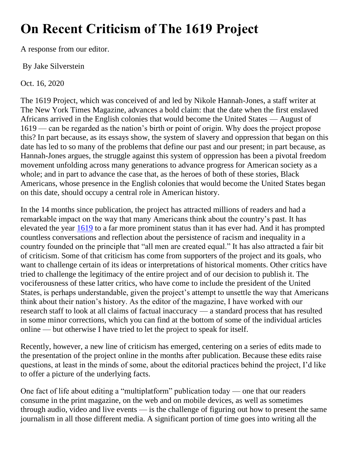## **On Recent Criticism of The 1619 Project**

A response from our editor.

By Jake Silverstein

Oct. 16, 2020

The 1619 Project, which was conceived of and led by Nikole Hannah-Jones, a staff writer at The New York Times Magazine, advances a bold claim: that the date when the first enslaved Africans arrived in the English colonies that would become the United States — August of 1619 — can be regarded as the nation's birth or point of origin. Why does the project propose this? In part because, as its essays show, the system of slavery and oppression that began on this date has led to so many of the problems that define our past and our present; in part because, as Hannah-Jones argues, the struggle against this system of oppression has been a pivotal freedom movement unfolding across many generations to advance progress for American society as a whole; and in part to advance the case that, as the heroes of both of these stories, Black Americans, whose presence in the English colonies that would become the United States began on this date, should occupy a central role in American history.

In the 14 months since publication, the project has attracted millions of readers and had a remarkable impact on the way that many Americans think about the country's past. It has elevated the year [1619](https://www.nytimes.com/2021/01/18/us/politics/1776-commission-report.html) to a far more prominent status than it has ever had. And it has prompted countless conversations and reflection about the persistence of racism and inequality in a country founded on the principle that "all men are created equal." It has also attracted a fair bit of criticism. Some of that criticism has come from supporters of the project and its goals, who want to challenge certain of its ideas or interpretations of historical moments. Other critics have tried to challenge the legitimacy of the entire project and of our decision to publish it. The vociferousness of these latter critics, who have come to include the president of the United States, is perhaps understandable, given the project's attempt to unsettle the way that Americans think about their nation's history. As the editor of the magazine, I have worked with our research staff to look at all claims of factual inaccuracy — a standard process that has resulted in some minor corrections, which you can find at the bottom of some of the individual articles online — but otherwise I have tried to let the project to speak for itself.

Recently, however, a new line of criticism has emerged, centering on a series of edits made to the presentation of the project online in the months after publication. Because these edits raise questions, at least in the minds of some, about the editorial practices behind the project, I'd like to offer a picture of the underlying facts.

One fact of life about editing a "multiplatform" publication today — one that our readers consume in the print magazine, on the web and on mobile devices, as well as sometimes through audio, video and live events — is the challenge of figuring out how to present the same journalism in all those different media. A significant portion of time goes into writing all the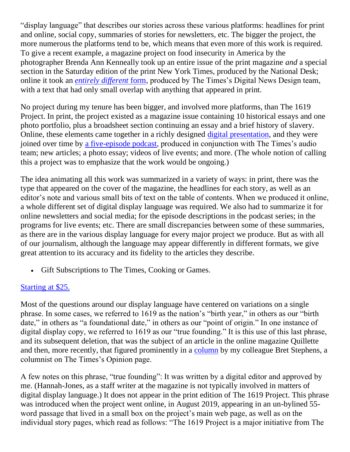"display language" that describes our stories across these various platforms: headlines for print and online, social copy, summaries of stories for newsletters, etc. The bigger the project, the more numerous the platforms tend to be, which means that even more of this work is required. To give a recent example, a magazine project on food insecurity in America by the photographer Brenda Ann Kenneally took up an entire issue of the print magazine *and* a special section in the Saturday edition of the print New York Times, produced by the National Desk; online it took an *[entirely different](https://www.nytimes.com/interactive/2020/09/02/magazine/food-insecurity-hunger-us.html)* [form,](https://www.nytimes.com/interactive/2020/09/02/magazine/food-insecurity-hunger-us.html) produced by The Times's Digital News Design team, with a text that had only small overlap with anything that appeared in print.

No project during my tenure has been bigger, and involved more platforms, than The 1619 Project. In print, the project existed as a magazine issue containing 10 historical essays and one photo portfolio, plus a broadsheet section continuing an essay and a brief history of slavery. Online, these elements came together in a richly designed [digital presentation,](https://www.nytimes.com/interactive/2019/08/14/magazine/1619-america-slavery.html) and they were joined over time by [a five-episode podcast,](https://www.nytimes.com/2020/01/23/podcasts/1619-podcast.html) produced in conjunction with The Times's audio team; new articles; a photo essay; videos of live events; and more. (The whole notion of calling this a project was to emphasize that the work would be ongoing.)

The idea animating all this work was summarized in a variety of ways: in print, there was the type that appeared on the cover of the magazine, the headlines for each story, as well as an editor's note and various small bits of text on the table of contents. When we produced it online, a whole different set of digital display language was required. We also had to summarize it for online newsletters and social media; for the episode descriptions in the podcast series; in the programs for live events; etc. There are small discrepancies between some of these summaries, as there are in the various display language for every major project we produce. But as with all of our journalism, although the language may appear differently in different formats, we give great attention to its accuracy and its fidelity to the articles they describe.

• Gift Subscriptions to The Times, Cooking or Games.

## [Starting at \\$25.](https://www.nytimes.com/subscription/gift?campaignId=9UK8F&channel=ometered&areas=inlineUnit&campaign=coregift)

Most of the questions around our display language have centered on variations on a single phrase. In some cases, we referred to 1619 as the nation's "birth year," in others as our "birth date," in others as "a foundational date," in others as our "point of origin." In one instance of digital display copy, we referred to 1619 as our "true founding." It is this use of this last phrase, and its subsequent deletion, that was the subject of an article in the online magazine Quillette and then, more recently, that figured prominently in a [column](https://www.nytimes.com/2020/10/09/opinion/nyt-1619-project-criticisms.html) by my colleague Bret Stephens, a columnist on The Times's Opinion page.

A few notes on this phrase, "true founding": It was written by a digital editor and approved by me. (Hannah-Jones, as a staff writer at the magazine is not typically involved in matters of digital display language.) It does not appear in the print edition of The 1619 Project. This phrase was introduced when the project went online, in August 2019, appearing in an un-bylined 55 word passage that lived in a small box on the project's main web page, as well as on the individual story pages, which read as follows: "The 1619 Project is a major initiative from The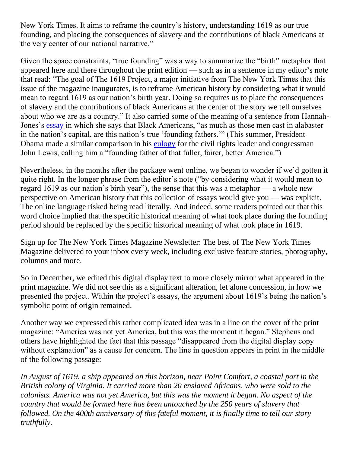New York Times. It aims to reframe the country's history, understanding 1619 as our true founding, and placing the consequences of slavery and the contributions of black Americans at the very center of our national narrative."

Given the space constraints, "true founding" was a way to summarize the "birth" metaphor that appeared here and there throughout the print edition — such as in a sentence in my editor's note that read: "The goal of The 1619 Project, a major initiative from The New York Times that this issue of the magazine inaugurates, is to reframe American history by considering what it would mean to regard 1619 as our nation's birth year. Doing so requires us to place the consequences of slavery and the contributions of black Americans at the center of the story we tell ourselves about who we are as a country." It also carried some of the meaning of a sentence from Hannah-Jones's [essay](https://www.nytimes.com/interactive/2019/08/14/magazine/black-history-american-democracy.html) in which she says that Black Americans, "as much as those men cast in alabaster in the nation's capital, are this nation's true 'founding fathers.'" (This summer, President Obama made a similar comparison in his [eulogy](https://www.youtube.com/watch?v=8P3X9AiN8E4) for the civil rights leader and congressman John Lewis, calling him a "founding father of that fuller, fairer, better America.")

Nevertheless, in the months after the package went online, we began to wonder if we'd gotten it quite right. In the longer phrase from the editor's note ("by considering what it would mean to regard 1619 as our nation's birth year"), the sense that this was a metaphor — a whole new perspective on American history that this collection of essays would give you — was explicit. The online language risked being read literally. And indeed, some readers pointed out that this word choice implied that the specific historical meaning of what took place during the founding period should be replaced by the specific historical meaning of what took place in 1619.

Sign up for The New York Times Magazine Newsletter: The best of The New York Times Magazine delivered to your inbox every week, including exclusive feature stories, photography, columns and more.

So in December, we edited this digital display text to more closely mirror what appeared in the print magazine. We did not see this as a significant alteration, let alone concession, in how we presented the project. Within the project's essays, the argument about 1619's being the nation's symbolic point of origin remained.

Another way we expressed this rather complicated idea was in a line on the cover of the print magazine: "America was not yet America, but this was the moment it began." Stephens and others have highlighted the fact that this passage "disappeared from the digital display copy without explanation" as a cause for concern. The line in question appears in print in the middle of the following passage:

*In August of 1619, a ship appeared on this horizon, near Point Comfort, a coastal port in the British colony of Virginia. It carried more than 20 enslaved Africans, who were sold to the colonists. America was not yet America, but this was the moment it began. No aspect of the country that would be formed here has been untouched by the 250 years of slavery that followed. On the 400th anniversary of this fateful moment, it is finally time to tell our story truthfully.*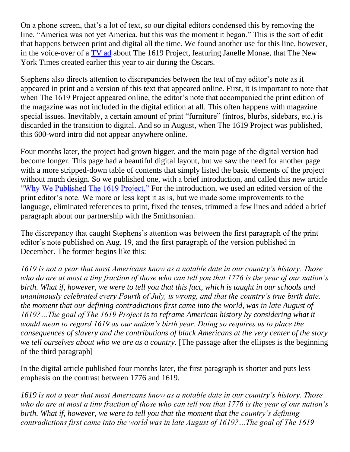On a phone screen, that's a lot of text, so our digital editors condensed this by removing the line, "America was not yet America, but this was the moment it began." This is the sort of edit that happens between print and digital all the time. We found another use for this line, however, in the voice-over of a [TV ad](https://www.nytimes.com/subscription/truth/1619#/) about The 1619 Project, featuring Janelle Monae, that The New York Times created earlier this year to air during the Oscars.

Stephens also directs attention to discrepancies between the text of my editor's note as it appeared in print and a version of this text that appeared online. First, it is important to note that when The 1619 Project appeared online, the editor's note that accompanied the print edition of the magazine was not included in the digital edition at all. This often happens with magazine special issues. Inevitably, a certain amount of print "furniture" (intros, blurbs, sidebars, etc.) is discarded in the transition to digital. And so in August, when The 1619 Project was published, this 600-word intro did not appear anywhere online.

Four months later, the project had grown bigger, and the main page of the digital version had become longer. This page had a beautiful digital layout, but we saw the need for another page with a more stripped-down table of contents that simply listed the basic elements of the project without much design. So we published one, with a brief introduction, and called this new article ["Why We Published The 1619 Project."](https://www.nytimes.com/interactive/2019/12/20/magazine/1619-intro.html) For the introduction, we used an edited version of the print editor's note. We more or less kept it as is, but we made some improvements to the language, eliminated references to print, fixed the tenses, trimmed a few lines and added a brief paragraph about our partnership with the Smithsonian.

The discrepancy that caught Stephens's attention was between the first paragraph of the print editor's note published on Aug. 19, and the first paragraph of the version published in December. The former begins like this:

*1619 is not a year that most Americans know as a notable date in our country's history. Those who do are at most a tiny fraction of those who can tell you that 1776 is the year of our nation's birth. What if, however, we were to tell you that this fact, which is taught in our schools and unanimously celebrated every Fourth of July, is wrong, and that the country's true birth date, the moment that our defining contradictions first came into the world, was in late August of 1619?…The goal of The 1619 Project is to reframe American history by considering what it would mean to regard 1619 as our nation's birth year. Doing so requires us to place the consequences of slavery and the contributions of black Americans at the very center of the story we tell ourselves about who we are as a country.* [The passage after the ellipses is the beginning of the third paragraph]

In the digital article published four months later, the first paragraph is shorter and puts less emphasis on the contrast between 1776 and 1619.

*1619 is not a year that most Americans know as a notable date in our country's history. Those who do are at most a tiny fraction of those who can tell you that 1776 is the year of our nation's birth. What if, however, we were to tell you that the moment that the country's defining contradictions first came into the world was in late August of 1619?…The goal of The 1619*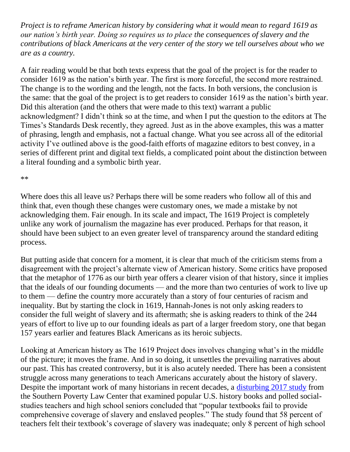*Project is to reframe American history by considering what it would mean to regard 1619 as our nation's birth year. Doing so requires us to place the consequences of slavery and the contributions of black Americans at the very center of the story we tell ourselves about who we are as a country.*

A fair reading would be that both texts express that the goal of the project is for the reader to consider 1619 as the nation's birth year. The first is more forceful, the second more restrained. The change is to the wording and the length, not the facts. In both versions, the conclusion is the same: that the goal of the project is to get readers to consider 1619 as the nation's birth year. Did this alteration (and the others that were made to this text) warrant a public acknowledgment? I didn't think so at the time, and when I put the question to the editors at The Times's Standards Desk recently, they agreed. Just as in the above examples, this was a matter of phrasing, length and emphasis, not a factual change. What you see across all of the editorial activity I've outlined above is the good-faith efforts of magazine editors to best convey, in a series of different print and digital text fields, a complicated point about the distinction between a literal founding and a symbolic birth year.

\*\*

Where does this all leave us? Perhaps there will be some readers who follow all of this and think that, even though these changes were customary ones, we made a mistake by not acknowledging them. Fair enough. In its scale and impact, The 1619 Project is completely unlike any work of journalism the magazine has ever produced. Perhaps for that reason, it should have been subject to an even greater level of transparency around the standard editing process.

But putting aside that concern for a moment, it is clear that much of the criticism stems from a disagreement with the project's alternate view of American history. Some critics have proposed that the metaphor of 1776 as our birth year offers a clearer vision of that history, since it implies that the ideals of our founding documents — and the more than two centuries of work to live up to them — define the country more accurately than a story of four centuries of racism and inequality. But by starting the clock in 1619, Hannah-Jones is not only asking readers to consider the full weight of slavery and its aftermath; she is asking readers to think of the 244 years of effort to live up to our founding ideals as part of a larger freedom story, one that began 157 years earlier and features Black Americans as its heroic subjects.

Looking at American history as The 1619 Project does involves changing what's in the middle of the picture; it moves the frame. And in so doing, it unsettles the prevailing narratives about our past. This has created controversy, but it is also acutely needed. There has been a consistent struggle across many generations to teach Americans accurately about the history of slavery. Despite the important work of many historians in recent decades, a [disturbing 2017 study](https://www.splcenter.org/20180131/teaching-hard-history#summary) from the Southern Poverty Law Center that examined popular U.S. history books and polled socialstudies teachers and high school seniors concluded that "popular textbooks fail to provide comprehensive coverage of slavery and enslaved peoples." The study found that 58 percent of teachers felt their textbook's coverage of slavery was inadequate; only 8 percent of high school